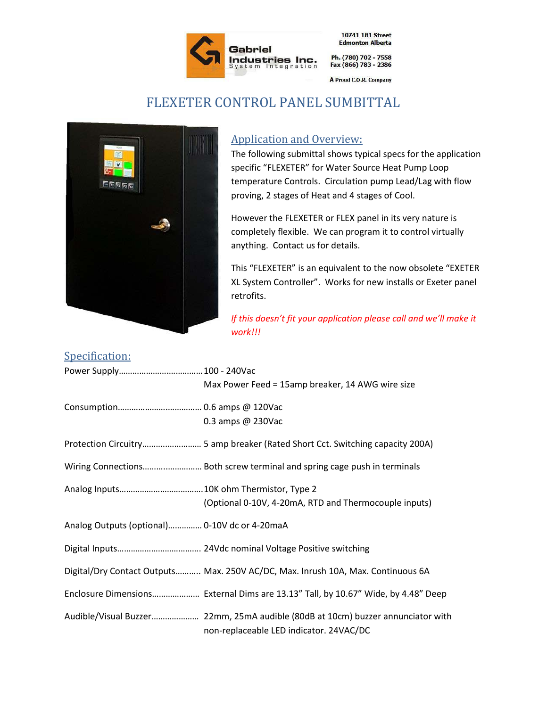

10741 181 Street **Edmonton Alberta** 

A Proud C.O.R. Company

## FLEXETER CONTROL PANEL SUMBITTAL



## Application and Overview:

The following submittal shows typical specs for the application specific "FLEXETER" for Water Source Heat Pump Loop temperature Controls. Circulation pump Lead/Lag with flow proving, 2 stages of Heat and 4 stages of Cool.

However the FLEXETER or FLEX panel in its very nature is completely flexible. We can program it to control virtually anything. Contact us for details.

This "FLEXETER" is an equivalent to the now obsolete "EXETER XL System Controller". Works for new installs or Exeter panel retrofits.

*If this doesn't fit your application please call and we'll make it work!!!*

## Specification:

|                                               | Max Power Feed = 15amp breaker, 14 AWG wire size                                  |
|-----------------------------------------------|-----------------------------------------------------------------------------------|
|                                               |                                                                                   |
|                                               | 0.3 amps @ 230Vac                                                                 |
|                                               |                                                                                   |
|                                               |                                                                                   |
|                                               |                                                                                   |
|                                               | (Optional 0-10V, 4-20mA, RTD and Thermocouple inputs)                             |
| Analog Outputs (optional) 0-10V dc or 4-20maA |                                                                                   |
|                                               |                                                                                   |
|                                               | Digital/Dry Contact Outputs Max. 250V AC/DC, Max. Inrush 10A, Max. Continuous 6A  |
|                                               | Enclosure Dimensions External Dims are 13.13" Tall, by 10.67" Wide, by 4.48" Deep |
|                                               | non-replaceable LED indicator. 24VAC/DC                                           |